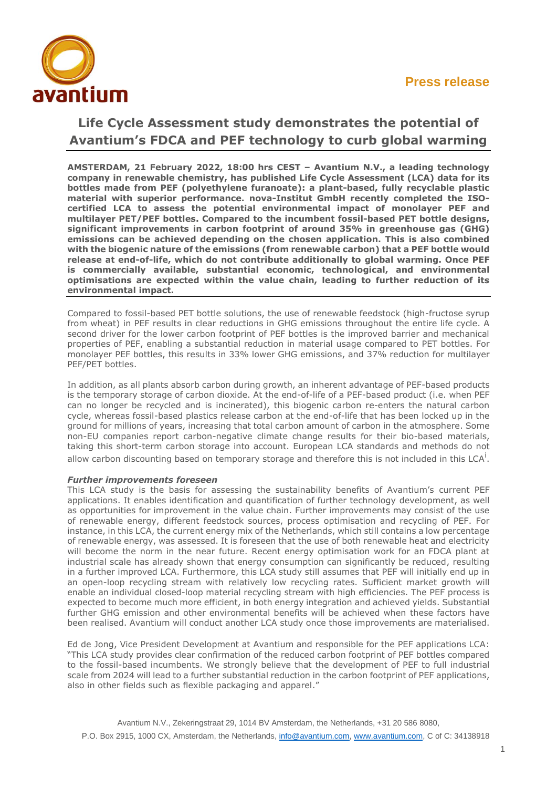

# **Life Cycle Assessment study demonstrates the potential of Avantium's FDCA and PEF technology to curb global warming**

**AMSTERDAM, 21 February 2022, 18:00 hrs CEST – Avantium N.V., a leading technology company in renewable chemistry, has published Life Cycle Assessment (LCA) data for its bottles made from PEF (polyethylene furanoate): a plant-based, fully recyclable plastic material with superior performance. nova-Institut GmbH recently completed the ISOcertified LCA to assess the potential environmental impact of monolayer PEF and multilayer PET/PEF bottles. Compared to the incumbent fossil-based PET bottle designs, significant improvements in carbon footprint of around 35% in greenhouse gas (GHG) emissions can be achieved depending on the chosen application. This is also combined with the biogenic nature of the emissions (from renewable carbon) that a PEF bottle would release at end-of-life, which do not contribute additionally to global warming. Once PEF is commercially available, substantial economic, technological, and environmental optimisations are expected within the value chain, leading to further reduction of its environmental impact.**

Compared to fossil-based PET bottle solutions, the use of renewable feedstock (high-fructose syrup from wheat) in PEF results in clear reductions in GHG emissions throughout the entire life cycle. A second driver for the lower carbon footprint of PEF bottles is the improved barrier and mechanical properties of PEF, enabling a substantial reduction in material usage compared to PET bottles. For monolayer PEF bottles, this results in 33% lower GHG emissions, and 37% reduction for multilayer PEF/PET bottles.

In addition, as all plants absorb carbon during growth, an inherent advantage of PEF-based products is the temporary storage of carbon dioxide. At the end-of-life of a PEF-based product (i.e. when PEF can no longer be recycled and is incinerated), this biogenic carbon re-enters the natural carbon cycle, whereas fossil-based plastics release carbon at the end-of-life that has been locked up in the ground for millions of years, increasing that total carbon amount of carbon in the atmosphere. Some non-EU companies report carbon-negative climate change results for their bio-based materials, taking this short-term carbon storage into account. European LCA standards and methods do not allow carbon discounting based on temporary storage and therefore this is not included in this LCA<sup>i</sup>.

## *Further improvements foreseen*

This LCA study is the basis for assessing the sustainability benefits of Avantium's current PEF applications. It enables identification and quantification of further technology development, as well as opportunities for improvement in the value chain. Further improvements may consist of the use of renewable energy, different feedstock sources, process optimisation and recycling of PEF. For instance, in this LCA, the current energy mix of the Netherlands, which still contains a low percentage of renewable energy, was assessed. It is foreseen that the use of both renewable heat and electricity will become the norm in the near future. Recent energy optimisation work for an FDCA plant at industrial scale has already shown that energy consumption can significantly be reduced, resulting in a further improved LCA. Furthermore, this LCA study still assumes that PEF will initially end up in an open-loop recycling stream with relatively low recycling rates. Sufficient market growth will enable an individual closed-loop material recycling stream with high efficiencies. The PEF process is expected to become much more efficient, in both energy integration and achieved yields. Substantial further GHG emission and other environmental benefits will be achieved when these factors have been realised. Avantium will conduct another LCA study once those improvements are materialised.

Ed de Jong, Vice President Development at Avantium and responsible for the PEF applications LCA: "This LCA study provides clear confirmation of the reduced carbon footprint of PEF bottles compared to the fossil-based incumbents. We strongly believe that the development of PEF to full industrial scale from 2024 will lead to a further substantial reduction in the carbon footprint of PEF applications, also in other fields such as flexible packaging and apparel."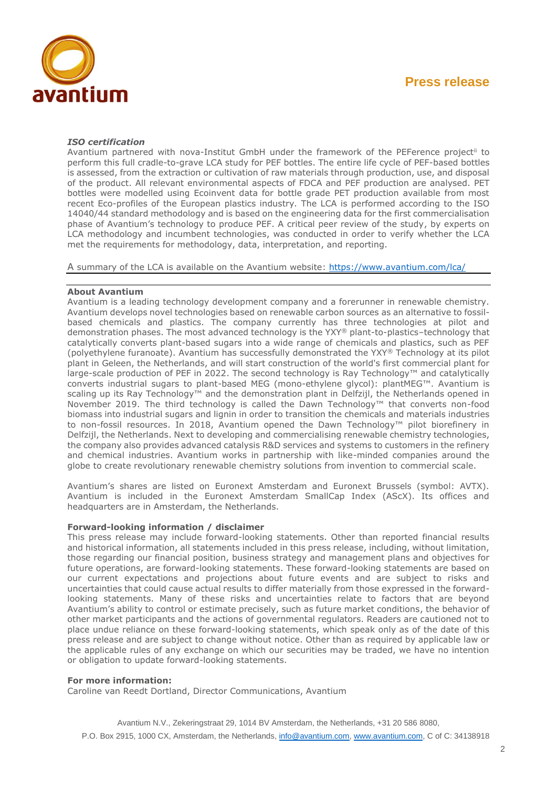

### *ISO certification*

Avantium partnered with nova-Institut GmbH under the framework of the PEFerence project<sup>ii</sup> to perform this full cradle-to-grave LCA study for PEF bottles. The entire life cycle of PEF-based bottles is assessed, from the extraction or cultivation of raw materials through production, use, and disposal of the product. All relevant environmental aspects of FDCA and PEF production are analysed. PET bottles were modelled using Ecoinvent data for bottle grade PET production available from most recent Eco-profiles of the European plastics industry. The LCA is performed according to the ISO 14040/44 standard methodology and is based on the engineering data for the first commercialisation phase of Avantium's technology to produce PEF. A critical peer review of the study, by experts on LCA methodology and incumbent technologies, was conducted in order to verify whether the LCA met the requirements for methodology, data, interpretation, and reporting.

A summary of the LCA is available on the Avantium website:<https://www.avantium.com/lca/>

### **About Avantium**

Avantium is a leading technology development company and a forerunner in renewable chemistry. Avantium develops novel technologies based on renewable carbon sources as an alternative to fossilbased chemicals and plastics. The company currently has three technologies at pilot and demonstration phases. The most advanced technology is the YXY® plant-to-plastics–technology that catalytically converts plant-based sugars into a wide range of chemicals and plastics, such as PEF (polyethylene furanoate). Avantium has successfully demonstrated the YXY® Technology at its pilot plant in Geleen, the Netherlands, and will start construction of the world's first commercial plant for large-scale production of PEF in 2022. The second technology is Ray Technology™ and catalytically converts industrial sugars to plant-based MEG (mono-ethylene glycol): plantMEG™. Avantium is scaling up its Ray Technology™ and the demonstration plant in Delfzijl, the Netherlands opened in November 2019. The third technology is called the Dawn Technology™ that converts non-food biomass into industrial sugars and lignin in order to transition the chemicals and materials industries to non-fossil resources. In 2018, Avantium opened the Dawn Technology™ pilot biorefinery in Delfzijl, the Netherlands. Next to developing and commercialising renewable chemistry technologies, the company also provides advanced catalysis R&D services and systems to customers in the refinery and chemical industries. Avantium works in partnership with like-minded companies around the globe to create revolutionary renewable chemistry solutions from invention to commercial scale.

Avantium's shares are listed on Euronext Amsterdam and Euronext Brussels (symbol: AVTX). Avantium is included in the Euronext Amsterdam SmallCap Index (AScX). Its offices and headquarters are in Amsterdam, the Netherlands.

### **Forward-looking information / disclaimer**

This press release may include forward-looking statements. Other than reported financial results and historical information, all statements included in this press release, including, without limitation, those regarding our financial position, business strategy and management plans and objectives for future operations, are forward-looking statements. These forward-looking statements are based on our current expectations and projections about future events and are subject to risks and uncertainties that could cause actual results to differ materially from those expressed in the forwardlooking statements. Many of these risks and uncertainties relate to factors that are beyond Avantium's ability to control or estimate precisely, such as future market conditions, the behavior of other market participants and the actions of governmental regulators. Readers are cautioned not to place undue reliance on these forward-looking statements, which speak only as of the date of this press release and are subject to change without notice. Other than as required by applicable law or the applicable rules of any exchange on which our securities may be traded, we have no intention or obligation to update forward-looking statements.

#### **For more information:**

Caroline van Reedt Dortland, Director Communications, Avantium